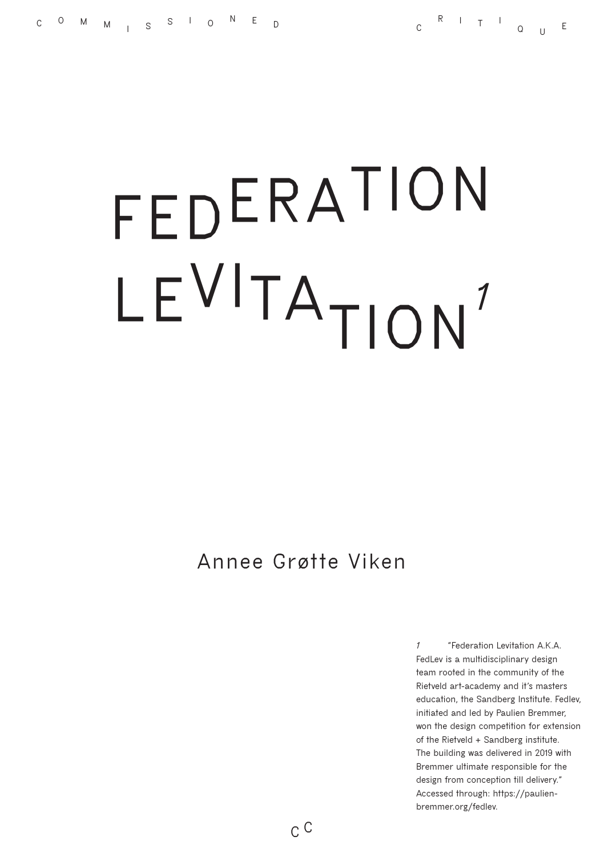# **FEDERATION** LE<sup>VI</sup>TA<sub>TION</sub><sup>1</sup>

## **Annee Grøtte Viken**

*1* **"Federation Levitation A.K.A. FedLev is a multidisciplinary design team rooted in the community of the Rietveld art-academy and it's masters education, the Sandberg Institute. Fedlev, initiated and led by Paulien Bremmer, won the design competition for extension of the Rietveld + Sandberg institute. The building was delivered in 2019 with Bremmer ultimate responsible for the design from conception till delivery." Accessed through: [https://paulien](https://paulienbremmer.org/fedlev)[bremmer.org/fedlev.](https://paulienbremmer.org/fedlev)**

**C C**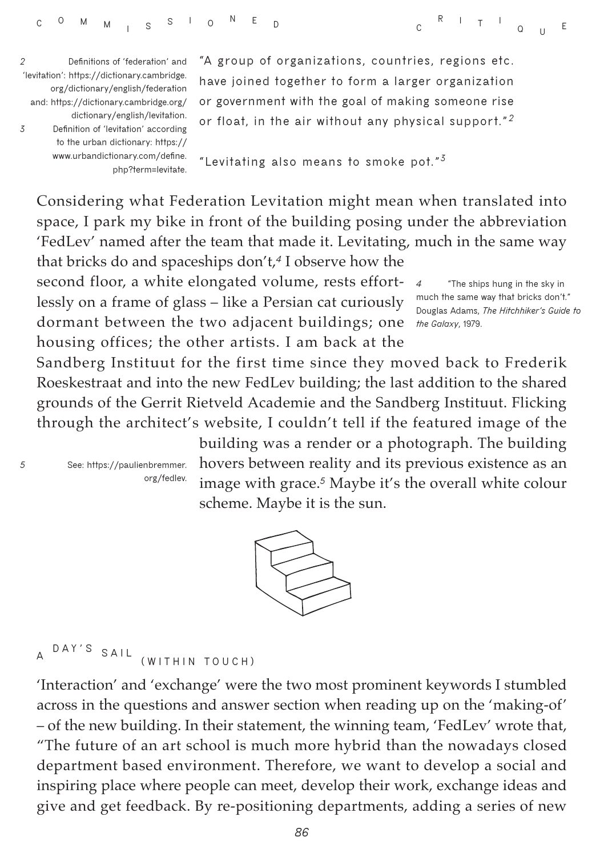*2* **Definitions of 'federation' and 'levitation': [https://dictionary.cambridge.](https://dictionary.cambridge.org/dictionary/english/federation and: https://dictionary.cambridge.org) [org/dictionary/english/federation](https://dictionary.cambridge.org/dictionary/english/federation and: https://dictionary.cambridge.org) [and: https://dictionary.cambridge.org/](https://dictionary.cambridge.org/dictionary/english/federation and: https://dictionary.cambridge.org) [dictionary/english/levitation.](https://dictionary.cambridge.org/dictionary/english/federation and: https://dictionary.cambridge.org)**  *3* **Definition of 'levitation' according to the urban dictionary: [https://](https://www.urbandictionary.com/define.php?term=levitate) [www.urbandictionary.com/define.](https://www.urbandictionary.com/define.php?term=levitate) [php?term=levitate.](https://www.urbandictionary.com/define.php?term=levitate)** **"A group of organizations, countries, regions etc. have joined together to form a larger organization or government with the goal of making someone rise or float, in the air without any physical support."** *<sup>2</sup>*

**"Levitating also means to smoke pot."***<sup>3</sup>*

Considering what Federation Levitation might mean when translated into space, I park my bike in front of the building posing under the abbreviation 'FedLev' named after the team that made it. Levitating, much in the same way that bricks do and spaceships don't,*<sup>4</sup>* I observe how the

second floor, a white elongated volume, rests effortlessly on a frame of glass – like a Persian cat curiously dormant between the two adjacent buildings; one *the Galaxy***, 1979.** housing offices; the other artists. I am back at the

*4* **"The ships hung in the sky in much the same way that bricks don't." Douglas Adams,** *The Hitchhiker's Guide to* 

**<sup>R</sup> <sup>I</sup> <sup>T</sup> <sup>I</sup>**

**<sup>Q</sup> <sup>U</sup> <sup>E</sup>**

Sandberg Instituut for the first time since they moved back to Frederik Roeskestraat and into the new FedLev building; the last addition to the shared grounds of the Gerrit Rietveld Academie and the Sandberg Instituut. Flicking through the architect's website, I couldn't tell if the featured image of the

*5* **See: [https://paulienbremmer.](https://paulienbremmer.org/fedlev) [org/fedlev.](https://paulienbremmer.org/fedlev)** building was a render or a photograph. The building hovers between reality and its previous existence as an image with grace.*<sup>5</sup>* Maybe it's the overall white colour scheme. Maybe it is the sun.



**<sup>A</sup>DAY'S SAIL (WITHIN TOUCH)**

'Interaction' and 'exchange' were the two most prominent keywords I stumbled across in the questions and answer section when reading up on the 'making-of' – of the new building. In their statement, the winning team, 'FedLev' wrote that, "The future of an art school is much more hybrid than the nowadays closed department based environment. Therefore, we want to develop a social and inspiring place where people can meet, develop their work, exchange ideas and give and get feedback. By re-positioning departments, adding a series of new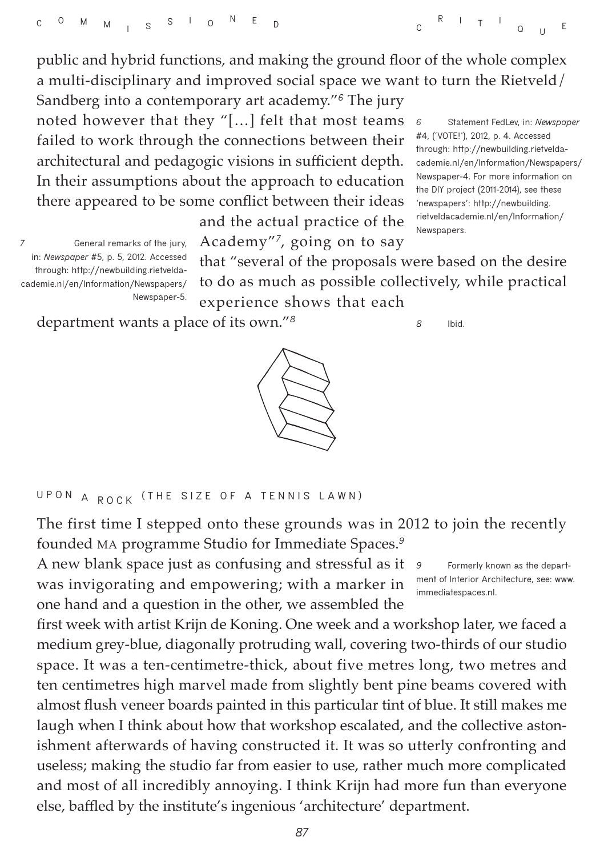**<sup>R</sup> <sup>I</sup> <sup>T</sup> <sup>I</sup> <sup>Q</sup> <sup>U</sup> <sup>E</sup>**

public and hybrid functions, and making the ground floor of the whole complex a multi-disciplinary and improved social space we want to turn the Rietveld/

Sandberg into a contemporary art academy."*<sup>6</sup>* The jury noted however that they "[…] felt that most teams failed to work through the connections between their architectural and pedagogic visions in sufficient depth. In their assumptions about the approach to education there appeared to be some conflict between their ideas

> and the actual practice of the Academy"*<sup>7</sup>*, going on to say

*6* **Statement FedLev, in:** *Newspaper*  **#4, ('VOTE!'), 2012, p. 4. Accessed through: [http://newbuilding.rietvelda](http://newbuilding.rietveldacademie.nl/en/Information/Newspapers/Newspaper-4)[cademie.nl/en/Information/Newspapers/](http://newbuilding.rietveldacademie.nl/en/Information/Newspapers/Newspaper-4) [Newspaper-4.](http://newbuilding.rietveldacademie.nl/en/Information/Newspapers/Newspaper-4) For more information on the DIY project (2011-2014), see these 'newspapers': [http://newbuilding.](http://newbuilding.rietveldacademie.nl/en/Information/Newspapers) [rietveldacademie.nl/en/Information/](http://newbuilding.rietveldacademie.nl/en/Information/Newspapers) [Newspapers.](http://newbuilding.rietveldacademie.nl/en/Information/Newspapers)**

*7* **General remarks of the jury, in:** *Newspaper* **#5, p. 5, 2012. Accessed through: [http://newbuilding.rietvelda](http://newbuilding.rietveldacademie.nl/en/Information/Newspapers/Newspaper-5)[cademie.nl/en/Information/Newspapers/](http://newbuilding.rietveldacademie.nl/en/Information/Newspapers/Newspaper-5) [Newspaper-5.](http://newbuilding.rietveldacademie.nl/en/Information/Newspapers/Newspaper-5)**

that "several of the proposals were based on the desire to do as much as possible collectively, while practical experience shows that each

department wants a place of its own."*<sup>8</sup>*





The first time I stepped onto these grounds was in 2012 to join the recently founded MA programme Studio for Immediate Spaces.*<sup>9</sup>*

A new blank space just as confusing and stressful as it  $\theta$ was invigorating and empowering; with a marker in one hand and a question in the other, we assembled the

*9* **Formerly known as the department of Interior Architecture, see: [www.](http://www.immediatespaces.nl) [immediatespaces.nl](http://www.immediatespaces.nl).**

first week with artist Krijn de Koning. One week and a workshop later, we faced a medium grey-blue, diagonally protruding wall, covering two-thirds of our studio space. It was a ten-centimetre-thick, about five metres long, two metres and ten centimetres high marvel made from slightly bent pine beams covered with almost flush veneer boards painted in this particular tint of blue. It still makes me laugh when I think about how that workshop escalated, and the collective astonishment afterwards of having constructed it. It was so utterly confronting and useless; making the studio far from easier to use, rather much more complicated and most of all incredibly annoying. I think Krijn had more fun than everyone else, baffled by the institute's ingenious 'architecture' department.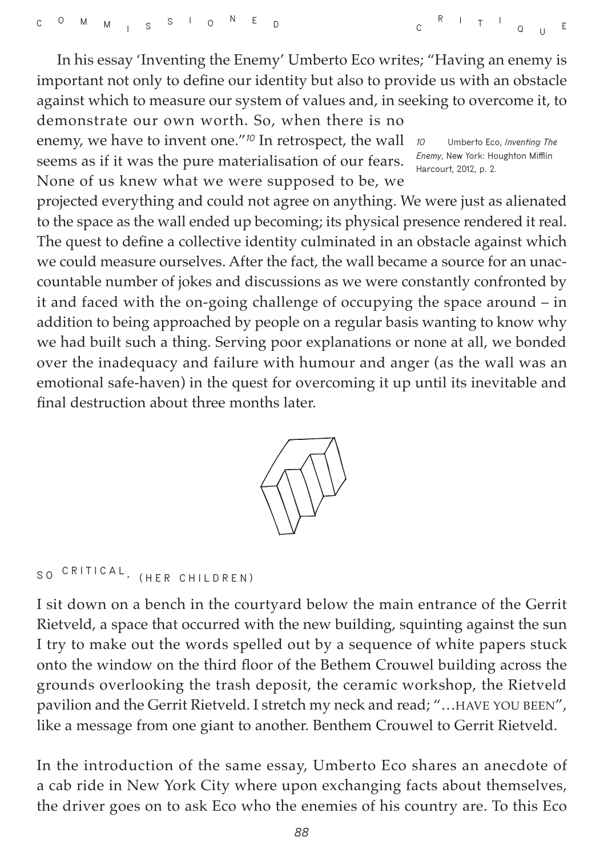**<sup>R</sup> <sup>I</sup> <sup>T</sup> <sup>I</sup> <sup>Q</sup> <sup>U</sup> <sup>E</sup>**

In his essay 'Inventing the Enemy' Umberto Eco writes; "Having an enemy is important not only to define our identity but also to provide us with an obstacle against which to measure our system of values and, in seeking to overcome it, to demonstrate our own worth. So, when there is no

enemy, we have to invent one.<sup>"10</sup> In retrospect, the wall 10 seems as if it was the pure materialisation of our fears. None of us knew what we were supposed to be, we

*10* **Umberto Eco,** *Inventing The Enemy***, New York: Houghton Mifflin Harcourt, 2012, p. 2.**

projected everything and could not agree on anything. We were just as alienated to the space as the wall ended up becoming; its physical presence rendered it real. The quest to define a collective identity culminated in an obstacle against which we could measure ourselves. After the fact, the wall became a source for an unaccountable number of jokes and discussions as we were constantly confronted by it and faced with the on-going challenge of occupying the space around – in addition to being approached by people on a regular basis wanting to know why we had built such a thing. Serving poor explanations or none at all, we bonded over the inadequacy and failure with humour and anger (as the wall was an emotional safe-haven) in the quest for overcoming it up until its inevitable and final destruction about three months later.



# **SO CRITICAL , (HER CHILDREN)**

I sit down on a bench in the courtyard below the main entrance of the Gerrit Rietveld, a space that occurred with the new building, squinting against the sun I try to make out the words spelled out by a sequence of white papers stuck onto the window on the third floor of the Bethem Crouwel building across the grounds overlooking the trash deposit, the ceramic workshop, the Rietveld pavilion and the Gerrit Rietveld. I stretch my neck and read; "... HAVE YOU BEEN", like a message from one giant to another. Benthem Crouwel to Gerrit Rietveld.

In the introduction of the same essay, Umberto Eco shares an anecdote of a cab ride in New York City where upon exchanging facts about themselves, the driver goes on to ask Eco who the enemies of his country are. To this Eco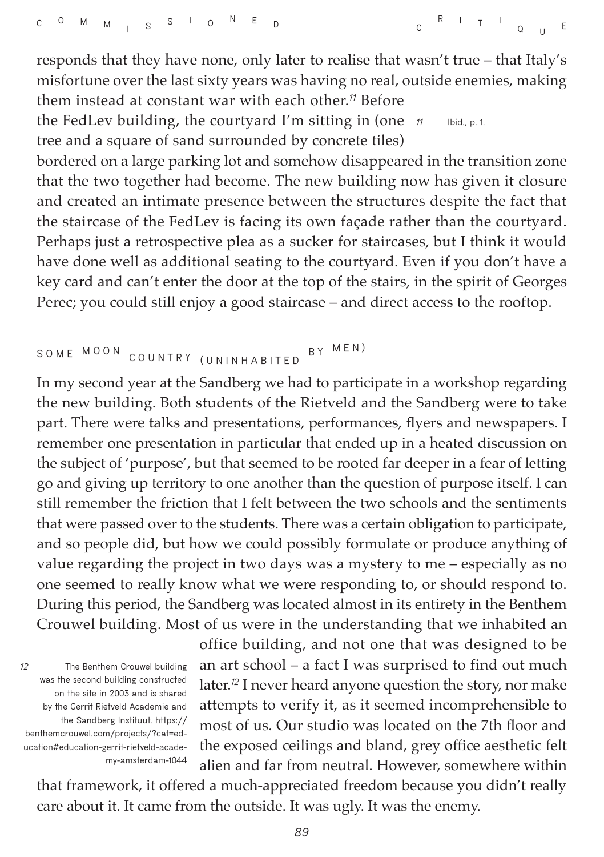responds that they have none, only later to realise that wasn't true – that Italy's misfortune over the last sixty years was having no real, outside enemies, making them instead at constant war with each other.*<sup>11</sup>* Before the FedLev building, the courtyard I'm sitting in (one  $\pi$ *11* **Ibid., p. 1.**

tree and a square of sand surrounded by concrete tiles)

bordered on a large parking lot and somehow disappeared in the transition zone that the two together had become. The new building now has given it closure and created an intimate presence between the structures despite the fact that the staircase of the FedLev is facing its own façade rather than the courtyard. Perhaps just a retrospective plea as a sucker for staircases, but I think it would have done well as additional seating to the courtyard. Even if you don't have a key card and can't enter the door at the top of the stairs, in the spirit of Georges Perec; you could still enjoy a good staircase – and direct access to the rooftop.

```
SOME MOON COUNTRY (UNINHABITED
                    B Y MEN)
```
In my second year at the Sandberg we had to participate in a workshop regarding the new building. Both students of the Rietveld and the Sandberg were to take part. There were talks and presentations, performances, flyers and newspapers. I remember one presentation in particular that ended up in a heated discussion on the subject of 'purpose', but that seemed to be rooted far deeper in a fear of letting go and giving up territory to one another than the question of purpose itself. I can still remember the friction that I felt between the two schools and the sentiments that were passed over to the students. There was a certain obligation to participate, and so people did, but how we could possibly formulate or produce anything of value regarding the project in two days was a mystery to me – especially as no one seemed to really know what we were responding to, or should respond to. During this period, the Sandberg was located almost in its entirety in the Benthem Crouwel building. Most of us were in the understanding that we inhabited an

office building, and not one that was designed to be an art school – a fact I was surprised to find out much later.*<sup>12</sup>* I never heard anyone question the story, nor make attempts to verify it, as it seemed incomprehensible to most of us. Our studio was located on the 7th floor and the exposed ceilings and bland, grey office aesthetic felt alien and far from neutral. However, somewhere within

that framework, it offered a much-appreciated freedom because you didn't really care about it. It came from the outside. It was ugly. It was the enemy.

*<sup>12</sup>* **The Benthem Crouwel building was the second building constructed on the site in 2003 and is shared by the Gerrit Rietveld Academie and the Sandberg Instituut. [https://](https://benthemcrouwel.com/projects/?cat=education#education-gerrit-rietveld-academy-amsterdam-1044) [benthemcrouwel.com/projects/?cat=ed](https://benthemcrouwel.com/projects/?cat=education#education-gerrit-rietveld-academy-amsterdam-1044)[ucation#education-gerrit-rietveld-acade](https://benthemcrouwel.com/projects/?cat=education#education-gerrit-rietveld-academy-amsterdam-1044)[my-amsterdam-1044](https://benthemcrouwel.com/projects/?cat=education#education-gerrit-rietveld-academy-amsterdam-1044)**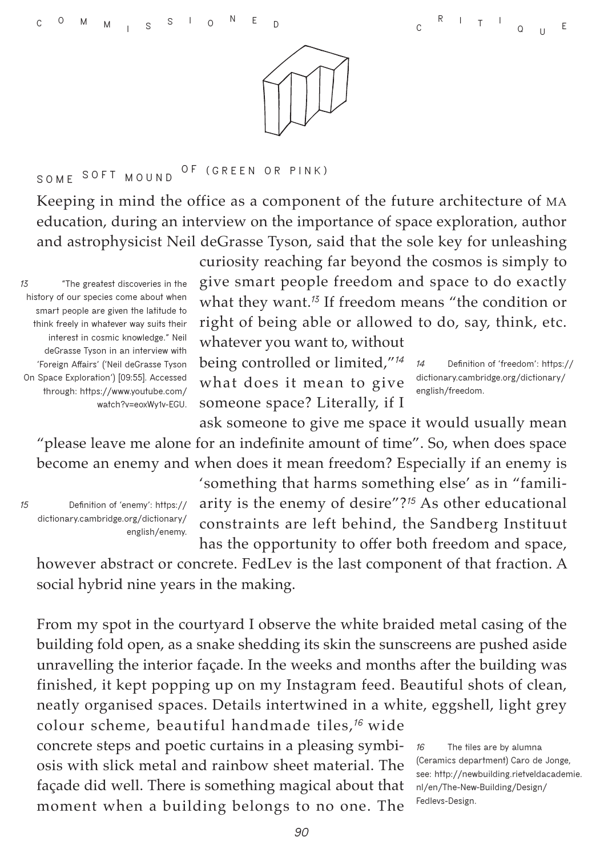

#### **SOME SOFT MOUND O F (GREEN OR PINK)**

Keeping in mind the office as a component of the future architecture of MA education, during an interview on the importance of space exploration, author and astrophysicist Neil deGrasse Tyson, said that the sole key for unleashing

*13* **"The greatest discoveries in the history of our species come about when smart people are given the latitude to think freely in whatever way suits their interest in cosmic knowledge." Neil deGrasse Tyson in an interview with 'Foreign Affairs' ('Neil deGrasse Tyson On Space Exploration') [09:55]. Accessed through: [https://www.youtube.com/]( https://www.youtube.com/watch?v=eoxWy1v-EGU) [watch?v=eoxWy1v-EGU.]( https://www.youtube.com/watch?v=eoxWy1v-EGU)** curiosity reaching far beyond the cosmos is simply to give smart people freedom and space to do exactly what they want.*<sup>13</sup>* If freedom means "the condition or right of being able or allowed to do, say, think, etc. whatever you want to, without

being controlled or limited,"*<sup>14</sup>* what does it mean to give someone space? Literally, if I

*14* **Definition of 'freedom': [https://](https://dictionary.cambridge.org/dictionary/english/freedom) [dictionary.cambridge.org/dictionary/](https://dictionary.cambridge.org/dictionary/english/freedom) [english/freedom](https://dictionary.cambridge.org/dictionary/english/freedom).**

ask someone to give me space it would usually mean "please leave me alone for an indefinite amount of time". So, when does space become an enemy and when does it mean freedom? Especially if an enemy is

*15* **Definition of 'enemy': [https://](https://dictionary.cambridge.org/dictionary/english/enemy) [dictionary.cambridge.org/dictionary/](https://dictionary.cambridge.org/dictionary/english/enemy) [english/enemy.](https://dictionary.cambridge.org/dictionary/english/enemy)** 'something that harms something else' as in "familiarity is the enemy of desire"?*<sup>15</sup>* As other educational constraints are left behind, the Sandberg Instituut has the opportunity to offer both freedom and space,

however abstract or concrete. FedLev is the last component of that fraction. A social hybrid nine years in the making.

From my spot in the courtyard I observe the white braided metal casing of the building fold open, as a snake shedding its skin the sunscreens are pushed aside unravelling the interior façade. In the weeks and months after the building was finished, it kept popping up on my Instagram feed. Beautiful shots of clean, neatly organised spaces. Details intertwined in a white, eggshell, light grey

colour scheme, beautiful handmade tiles,*<sup>16</sup>*wide concrete steps and poetic curtains in a pleasing symbiosis with slick metal and rainbow sheet material. The façade did well. There is something magical about that moment when a building belongs to no one. The

*16* **The tiles are by alumna (Ceramics department) Caro de Jonge, see: [http://newbuilding.rietveldacademie.](http://newbuilding.rietveldacademie.nl/en/The-New-Building/Design/Fedlevs-Design) [nl/en/The-New-Building/Design/](http://newbuilding.rietveldacademie.nl/en/The-New-Building/Design/Fedlevs-Design) [Fedlevs-Design.](http://newbuilding.rietveldacademie.nl/en/The-New-Building/Design/Fedlevs-Design)**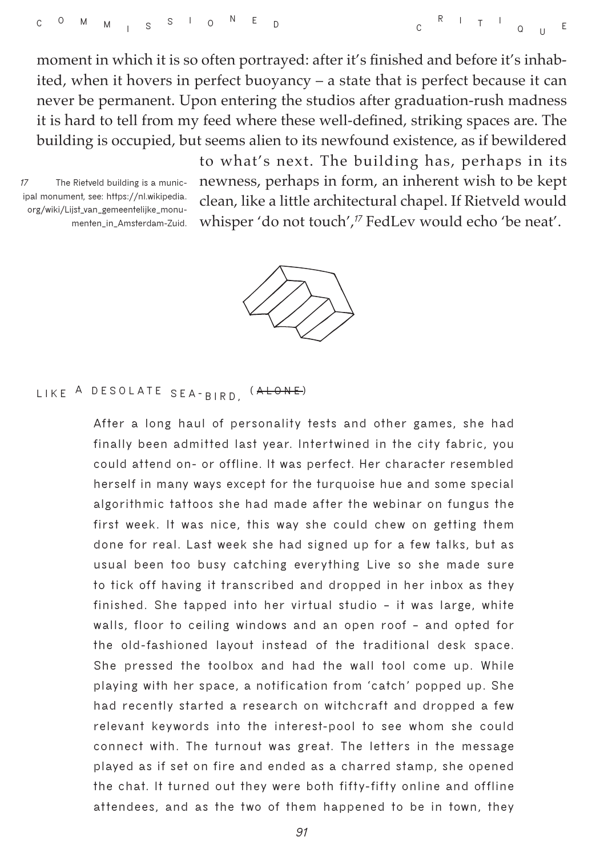moment in which it is so often portrayed: after it's finished and before it's inhabited, when it hovers in perfect buoyancy – a state that is perfect because it can never be permanent. Upon entering the studios after graduation-rush madness it is hard to tell from my feed where these well-defined, striking spaces are. The building is occupied, but seems alien to its newfound existence, as if bewildered

*17* **The Rietveld building is a municipal monument, see: [https://nl.wikipedia.](https://nl.wikipedia.org/wiki/Lijst_van_gemeentelijke_monumenten_in_Amsterdam-Zuid) [org/wiki/Lijst\\_van\\_gemeentelijke\\_monu](https://nl.wikipedia.org/wiki/Lijst_van_gemeentelijke_monumenten_in_Amsterdam-Zuid)[menten\\_in\\_Amsterdam-Zuid.](https://nl.wikipedia.org/wiki/Lijst_van_gemeentelijke_monumenten_in_Amsterdam-Zuid)**

to what's next. The building has, perhaps in its newness, perhaps in form, an inherent wish to be kept clean, like a little architectural chapel. If Rietveld would whisper 'do not touch',<sup>17</sup> FedLev would echo 'be neat'.

**<sup>R</sup> <sup>I</sup> <sup>T</sup> <sup>I</sup>**

**<sup>Q</sup> <sup>U</sup> <sup>E</sup>**



## **LIKE <sup>A</sup> DESOLATE SEA- BIRD, ( ALONE )**

**After a long haul of personality tests and other games, she had finally been admitted last year. Intertwined in the city fabric, you could attend on- or offline. It was perfect. Her character resembled herself in many ways except for the turquoise hue and some special algorithmic tattoos she had made after the webinar on fungus the first week. It was nice, this way she could chew on getting them done for real. Last week she had signed up for a few talks, but as usual been too busy catching everything Live so she made sure to tick off having it transcribed and dropped in her inbox as they finished. She tapped into her virtual studio – it was large, white walls, floor to ceiling windows and an open roof – and opted for the old-fashioned layout instead of the traditional desk space. She pressed the toolbox and had the wall tool come up. While playing with her space, a notification from 'catch' popped up. She had recently started a research on witchcraft and dropped a few relevant keywords into the interest-pool to see whom she could connect with. The turnout was great. The letters in the message played as if set on fire and ended as a charred stamp, she opened the chat. It turned out they were both fifty-fifty online and offline attendees, and as the two of them happened to be in town, they** 

*91*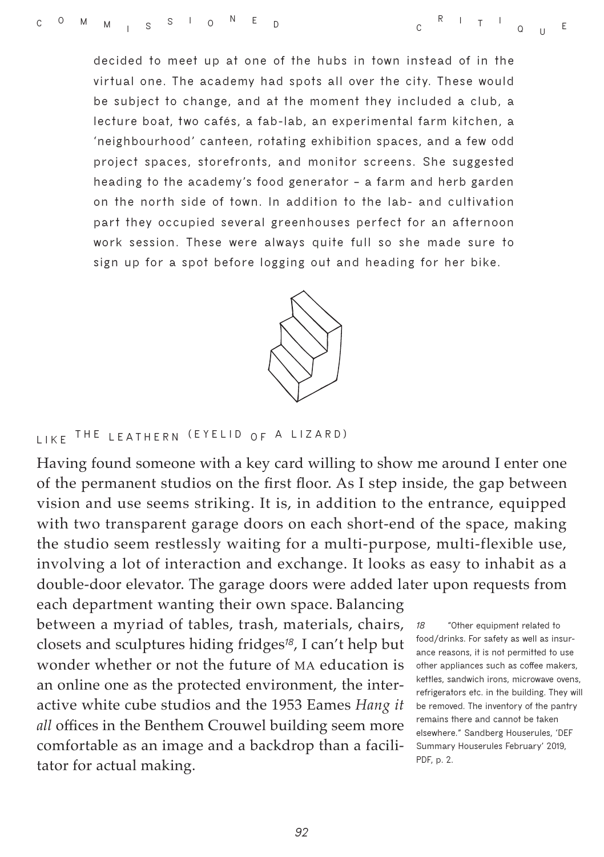**decided to meet up at one of the hubs in town instead of in the virtual one. The academy had spots all over the city. These would be subject to change, and at the moment they included a club, a lecture boat, two cafés, a fab-lab, an experimental farm kitchen, a 'neighbourhood' canteen, rotating exhibition spaces, and a few odd project spaces, storefronts, and monitor screens. She suggested heading to the academy's food generator – a farm and herb garden on the north side of town. In addition to the lab- and cultivation part they occupied several greenhouses perfect for an afternoon work session. These were always quite full so she made sure to sign up for a spot before logging out and heading for her bike.**



### LIKE THE LEATHERN (EYELID OF A LIZARD)

Having found someone with a key card willing to show me around I enter one of the permanent studios on the first floor. As I step inside, the gap between vision and use seems striking. It is, in addition to the entrance, equipped with two transparent garage doors on each short-end of the space, making the studio seem restlessly waiting for a multi-purpose, multi-flexible use, involving a lot of interaction and exchange. It looks as easy to inhabit as a double-door elevator. The garage doors were added later upon requests from

each department wanting their own space. Balancing between a myriad of tables, trash, materials, chairs, closets and sculptures hiding fridges*<sup>18</sup>*, I can't help but wonder whether or not the future of MA education is an online one as the protected environment, the interactive white cube studios and the 1953 Eames *Hang it all* offices in the Benthem Crouwel building seem more comfortable as an image and a backdrop than a facilitator for actual making.

*18* **"Other equipment related to food/drinks. For safety as well as insurance reasons, it is not permitted to use other appliances such as coffee makers, kettles, sandwich irons, microwave ovens, refrigerators etc. in the building. They will be removed. The inventory of the pantry remains there and cannot be taken elsewhere." Sandberg Houserules, 'DEF Summary Houserules February' 2019, PDF, p. 2.**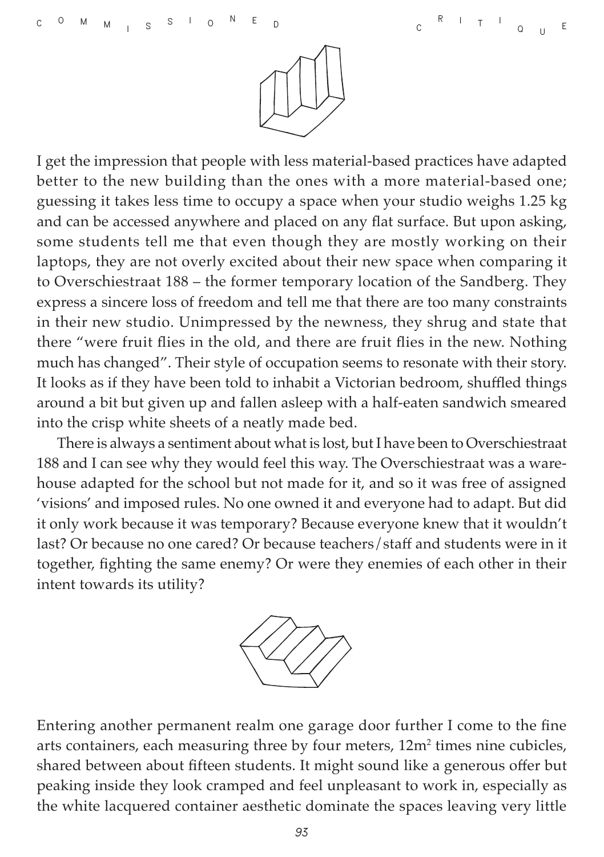

I get the impression that people with less material-based practices have adapted better to the new building than the ones with a more material-based one; guessing it takes less time to occupy a space when your studio weighs 1.25 kg and can be accessed anywhere and placed on any flat surface. But upon asking, some students tell me that even though they are mostly working on their laptops, they are not overly excited about their new space when comparing it to Overschiestraat 188 – the former temporary location of the Sandberg. They express a sincere loss of freedom and tell me that there are too many constraints in their new studio. Unimpressed by the newness, they shrug and state that there "were fruit flies in the old, and there are fruit flies in the new. Nothing much has changed". Their style of occupation seems to resonate with their story. It looks as if they have been told to inhabit a Victorian bedroom, shuffled things around a bit but given up and fallen asleep with a half-eaten sandwich smeared into the crisp white sheets of a neatly made bed.

There is always a sentiment about what is lost, but I have been to Overschiestraat 188 and I can see why they would feel this way. The Overschiestraat was a warehouse adapted for the school but not made for it, and so it was free of assigned 'visions' and imposed rules. No one owned it and everyone had to adapt. But did it only work because it was temporary? Because everyone knew that it wouldn't last? Or because no one cared? Or because teachers/staff and students were in it together, fighting the same enemy? Or were they enemies of each other in their intent towards its utility?



Entering another permanent realm one garage door further I come to the fine arts containers, each measuring three by four meters, 12m<sup>2</sup> times nine cubicles, shared between about fifteen students. It might sound like a generous offer but peaking inside they look cramped and feel unpleasant to work in, especially as the white lacquered container aesthetic dominate the spaces leaving very little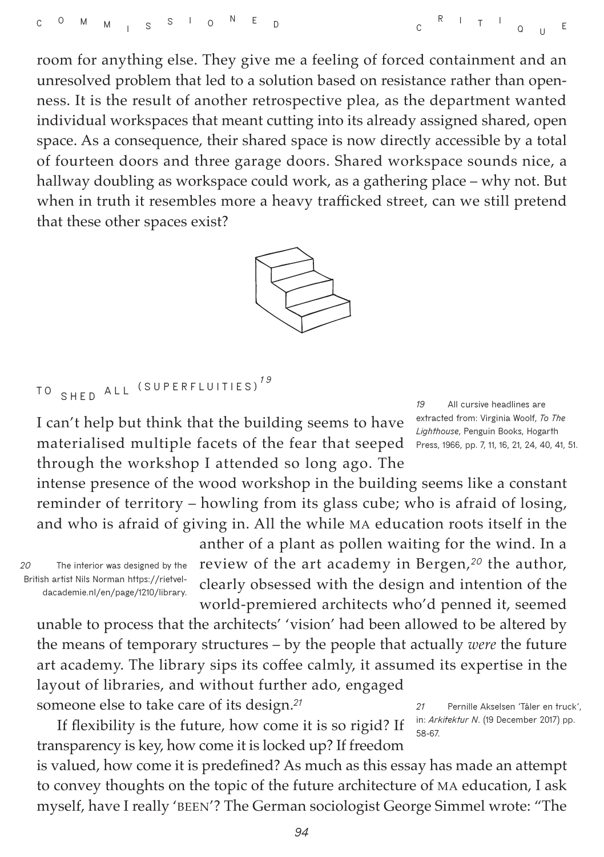room for anything else. They give me a feeling of forced containment and an unresolved problem that led to a solution based on resistance rather than openness. It is the result of another retrospective plea, as the department wanted individual workspaces that meant cutting into its already assigned shared, open space. As a consequence, their shared space is now directly accessible by a total of fourteen doors and three garage doors. Shared workspace sounds nice, a hallway doubling as workspace could work, as a gathering place – why not. But when in truth it resembles more a heavy trafficked street, can we still pretend that these other spaces exist?



**T O SHED ALL (SUPERFLUITIES)** *1 9*

I can't help but think that the building seems to have materialised multiple facets of the fear that seeped through the workshop I attended so long ago. The

*19* **All cursive headlines are extracted from: Virginia Woolf,** *To The Lighthouse***, Penguin Books, Hogarth Press, 1966, pp. 7, 11, 16, 21, 24, 40, 41, 51.**

intense presence of the wood workshop in the building seems like a constant reminder of territory – howling from its glass cube; who is afraid of losing, and who is afraid of giving in. All the while MA education roots itself in the

*20* **The interior was designed by the British artist Nils Norman [https://rietvel](https://rietveldacademie.nl/en/page/1210/library)[dacademie.nl/en/page/1210/library.](https://rietveldacademie.nl/en/page/1210/library)** anther of a plant as pollen waiting for the wind. In a review of the art academy in Bergen,*<sup>20</sup>* the author, clearly obsessed with the design and intention of the world-premiered architects who'd penned it, seemed

unable to process that the architects' 'vision' had been allowed to be altered by the means of temporary structures – by the people that actually *were* the future art academy. The library sips its coffee calmly, it assumed its expertise in the layout of libraries, and without further ado, engaged someone else to take care of its design.*<sup>21</sup>*

If flexibility is the future, how come it is so rigid? If transparency is key, how come it is locked up? If freedom

*21* **Pernille Akselsen 'Tåler en truck', in:** *Arkitektur N***. (19 December 2017) pp. 58-67.**

is valued, how come it is predefined? As much as this essay has made an attempt to convey thoughts on the topic of the future architecture of MA education, I ask myself, have I really 'BEEN'? The German sociologist George Simmel wrote: "The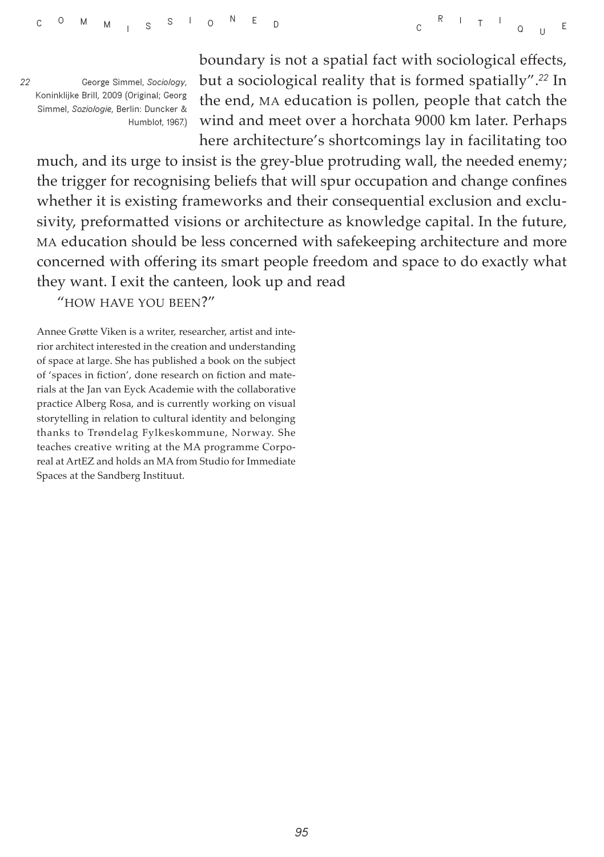*22* **George Simmel,** *Sociology***, Koninklijke Brill, 2009 (Original; Georg Simmel,** *Soziologie***, Berlin: Duncker & Humblot, 1967.)** boundary is not a spatial fact with sociological effects, but a sociological reality that is formed spatially".*<sup>22</sup>* In the end, MA education is pollen, people that catch the wind and meet over a horchata 9000 km later. Perhaps here architecture's shortcomings lay in facilitating too

much, and its urge to insist is the grey-blue protruding wall, the needed enemy; the trigger for recognising beliefs that will spur occupation and change confines whether it is existing frameworks and their consequential exclusion and exclusivity, preformatted visions or architecture as knowledge capital. In the future, MA education should be less concerned with safekeeping architecture and more concerned with offering its smart people freedom and space to do exactly what they want. I exit the canteen, look up and read

"HOW HAVE YOU BEEN?"

Annee Grøtte Viken is a writer, researcher, artist and interior architect interested in the creation and understanding of space at large. She has published a book on the subject of 'spaces in fiction', done research on fiction and materials at the Jan van Eyck Academie with the collaborative practice Alberg Rosa, and is currently working on visual storytelling in relation to cultural identity and belonging thanks to Trøndelag Fylkeskommune, Norway. She teaches creative writing at the MA programme Corporeal at ArtEZ and holds an MA from Studio for Immediate Spaces at the Sandberg Instituut.